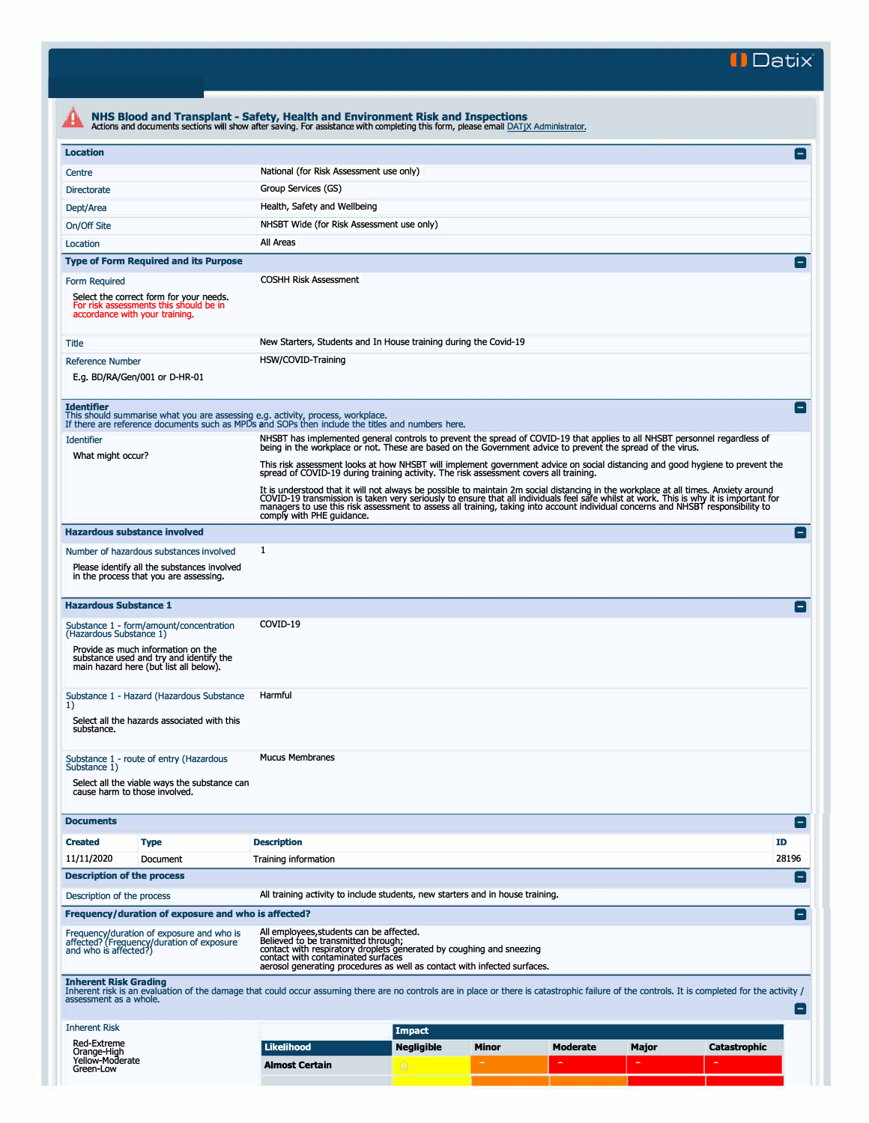**II Datix·** 

## **All NHS Blood and Transplant - Safety, Health and Environment Risk and Inspections**<br>Actions and documents sections will show after saving. For assistance with completing this form, please email **DATIX Administrator**. **Location**  Centre National (for Risk Assessment use only) Directorate Group Services (GS) Dept/Area **Health, Safety and Wellbeing** On/Off Site **NHSBT Wide (for Risk Assessment use only)** Location All Areas **Type of Form Required and its Purpose**  Form Required **COSHH Risk Assessment** Select the correct form for your needs.<br>For risk assessments this should be in For risk assessments this should be in accordance with your training. Title Thius New Starters, Students and In House training during the Covid-19 Reference Number **HSW/COVID-Training** E.g. BD/RA/Gen/001 or D-HR-01 **Identifier**<br>This should summarise what you are assessing e.g. activity, process, workplace.<br>If there are reference documents such as MPDs and SOPs then include the titles and numbers here. Identifier entimely are all NHSBT particles of MHSBT has implemented general controls to prevent the spread of COVID-19 that applies to all NHSBT personnel regardless of<br>A being in the workplace or not. These are based on What might occur? This risk assessment looks at how NHSBT will implement government advice on social distancing and good hygiene to prevent the spread of COVID-19 during training activity. The risk assessment covers all training. It is understood that it will not always be possible to maintain 2m social distancing in the workplace at all times. Anxiety around<br>COVID-19 transmission is taken very seriously to ensure that all individuals feel safe whi **Hazardous substance involved**  Number of hazardous substances involved 1 Please identify all the substances involved in the process that you are assessing. **Hazardous Substance 1**  Substance 1 - form/amount/concentration COVID-19 (Hazardous Substance 1) Provide as much information on the substance used and try and identify the main hazard here (but list all below). Substance 1 - Hazard (Hazardous Substance <mark>Harmful</mark><br>1) Select all the hazards associated with this substance. Substance 1 - route of entry (Hazardous Mucus Membranes<br>Substance 1) Select all the viable ways the substance can cause harm to those involved.  $\blacksquare$ E  $\blacksquare$ II  $\blacksquare$ In the second contract of the second contract of the second contract of the second contract of the second contract of the second contract of the second contract of the second contract of the second contract of the second c **Created**  11/11/2020 **Type**  Document **Description**  Training information **ID**  28196 **Description of the process**  Description of the process All training activity to include students, new starters and in house training. **Frequency/ duration of exposure and who is affected?**  Frequency/duration of exposure and who is<br>affected? (Frequency/duration of exposure<br>and who is affected?) All employees,students can be affected.<br>Believed to be transmitted through;<br>contact with respiratory droplets generated by coughing and sneezing<br>contact with contaminated surfaces<br>aerosol generating procedures as well as c  $\blacksquare$ EI Therent Risk Grading<br>
Interest risk is an evaluation of the damage that could occur assuming there are no controls are in place or there is catastrophic failure of the controls. It is completed for the activity /<br>
assessme Inherent Risk Red-Extreme **Impact Moderate Major Catastrophic**

Orange-High<br>Yellow-Moderate **Likelihood Almost Certain Negligible Minor** 

Green-Low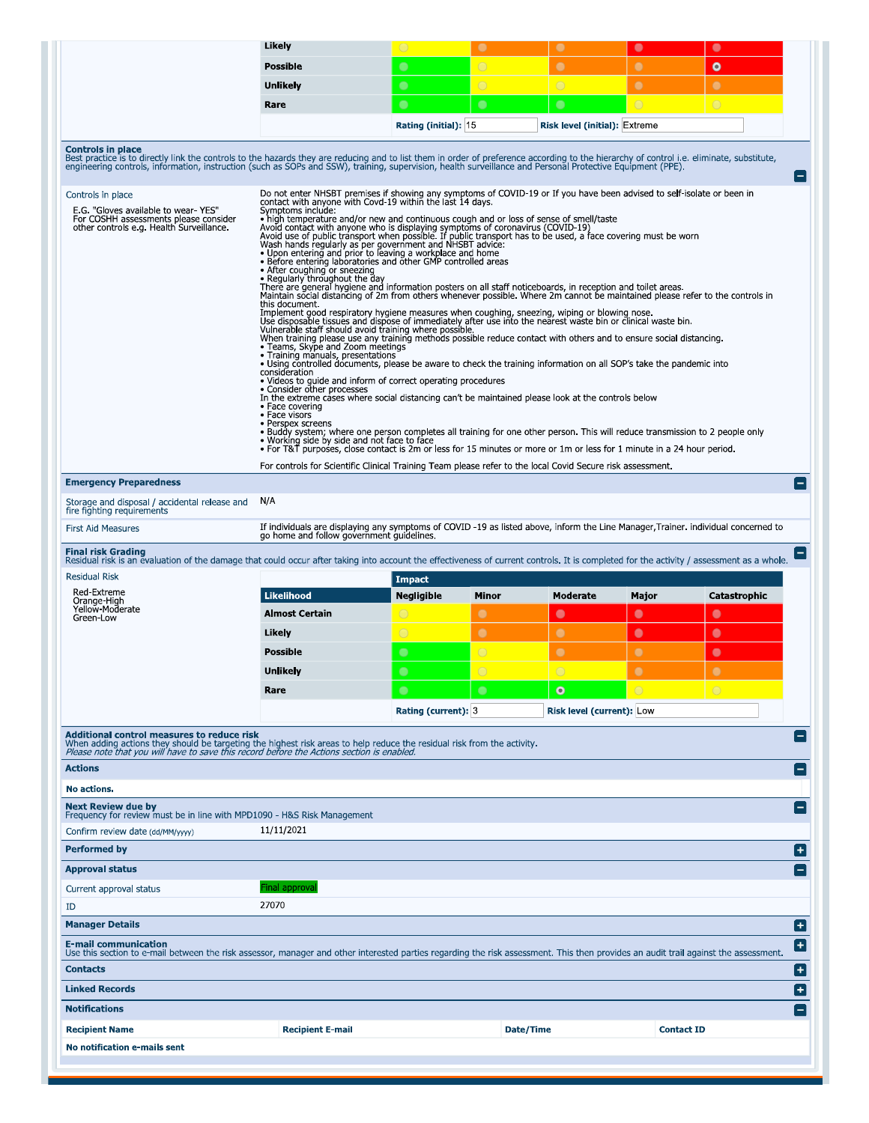|                                                                                                                                                                                                                                                                    | Likely                                                                                                                                                                                                                                                                                                                                                                                                                                                                                                                                                                                                                                                                                                                                                                                                                                                                                                                                                                                                                                                                                                                                                                                                                                                                                                                                                                                                                                                                                                                                                                                                                                                                                                                                                                                                                                                                                                                                                                                                                                                                                                                                                                                                                      | $\circ$               | $\bullet$      | $\bullet$                            | $\bullet$             | $\bullet$         |
|--------------------------------------------------------------------------------------------------------------------------------------------------------------------------------------------------------------------------------------------------------------------|-----------------------------------------------------------------------------------------------------------------------------------------------------------------------------------------------------------------------------------------------------------------------------------------------------------------------------------------------------------------------------------------------------------------------------------------------------------------------------------------------------------------------------------------------------------------------------------------------------------------------------------------------------------------------------------------------------------------------------------------------------------------------------------------------------------------------------------------------------------------------------------------------------------------------------------------------------------------------------------------------------------------------------------------------------------------------------------------------------------------------------------------------------------------------------------------------------------------------------------------------------------------------------------------------------------------------------------------------------------------------------------------------------------------------------------------------------------------------------------------------------------------------------------------------------------------------------------------------------------------------------------------------------------------------------------------------------------------------------------------------------------------------------------------------------------------------------------------------------------------------------------------------------------------------------------------------------------------------------------------------------------------------------------------------------------------------------------------------------------------------------------------------------------------------------------------------------------------------------|-----------------------|----------------|--------------------------------------|-----------------------|-------------------|
|                                                                                                                                                                                                                                                                    | <b>Possible</b>                                                                                                                                                                                                                                                                                                                                                                                                                                                                                                                                                                                                                                                                                                                                                                                                                                                                                                                                                                                                                                                                                                                                                                                                                                                                                                                                                                                                                                                                                                                                                                                                                                                                                                                                                                                                                                                                                                                                                                                                                                                                                                                                                                                                             | $\bullet$             | $\bigcirc$     | $\bullet$                            | $\bullet$             | $\bullet$         |
|                                                                                                                                                                                                                                                                    | <b>Unlikely</b>                                                                                                                                                                                                                                                                                                                                                                                                                                                                                                                                                                                                                                                                                                                                                                                                                                                                                                                                                                                                                                                                                                                                                                                                                                                                                                                                                                                                                                                                                                                                                                                                                                                                                                                                                                                                                                                                                                                                                                                                                                                                                                                                                                                                             | $\bullet$             | $\overline{O}$ | $\bigcirc$                           | $\bullet$             | $\bullet$         |
|                                                                                                                                                                                                                                                                    | Rare                                                                                                                                                                                                                                                                                                                                                                                                                                                                                                                                                                                                                                                                                                                                                                                                                                                                                                                                                                                                                                                                                                                                                                                                                                                                                                                                                                                                                                                                                                                                                                                                                                                                                                                                                                                                                                                                                                                                                                                                                                                                                                                                                                                                                        | $\bullet$             | $\bullet$      | $\bullet$                            | $\overline{\bigcirc}$ | $\circ$           |
|                                                                                                                                                                                                                                                                    |                                                                                                                                                                                                                                                                                                                                                                                                                                                                                                                                                                                                                                                                                                                                                                                                                                                                                                                                                                                                                                                                                                                                                                                                                                                                                                                                                                                                                                                                                                                                                                                                                                                                                                                                                                                                                                                                                                                                                                                                                                                                                                                                                                                                                             | Rating (initial): 15  |                | <b>Risk level (initial): Extreme</b> |                       |                   |
| <b>Controls in place</b><br>Best practice is to directly link the controls to the hazards they are reducing and to list them in order of preference according to the hierarchy of control i.e. eliminate, substitute, engineering control i.e. eliminate,          |                                                                                                                                                                                                                                                                                                                                                                                                                                                                                                                                                                                                                                                                                                                                                                                                                                                                                                                                                                                                                                                                                                                                                                                                                                                                                                                                                                                                                                                                                                                                                                                                                                                                                                                                                                                                                                                                                                                                                                                                                                                                                                                                                                                                                             |                       |                |                                      |                       |                   |
| Controls in place<br>E.G. "Gloves available to wear YES"<br>For COSHH assessments please consider<br>other controls e.g. Health Surveillance.                                                                                                                      | Do not enter NHSBT premises if showing any symptoms of COVID-19 or If you have been advised to self-isolate or been in<br>contact with anyone with Covd-19 within the last 14 days.<br>Symptoms include:<br>• high temperature and/or new and continuous cough and or loss of sense of smell/taste<br>Avoid contact with anyone who is displaying symptoms of coronavirus (COVID-19)<br>Avoid use of public transport when possible. If public transport has to be used, a face covering must be worn<br>Wash hands regularly as per government and NHSBT advice:<br>. Upon entering and prior to leaving a workplace and home<br>• Before entering laboratories and other GMP controlled areas<br>• After coughing or sneezing<br>. Regularly throughout the day<br>There are general hygiene and information posters on all staff noticeboards, in reception and toilet areas.<br>Maintain social distancing of 2m from others whenever possible. Where 2m cannot be maintained please refer to the controls in<br>this document.<br>Implement good respiratory hygiene measures when coughing, sneezing, wiping or blowing nose.<br>Use disposable tissues and dispose of immediately after use into the nearest waste bin or clinical waste bin.<br>Vulnerable staff should avoid training where possible.<br>When training please use any training methods possible reduce contact with others and to ensure social distancing.<br>• Teams, Skype and Zoom meetings<br>• Training manuals, presentations<br>. Using controlled documents, please be aware to check the training information on all SOP's take the pandemic into<br>consideration<br>• Videos to guide and inform of correct operating procedures<br>• Consider other processes<br>In the extreme cases where social distancing can't be maintained please look at the controls below<br>• Face covering<br>• Face visors<br>• Perspex screens<br>• Buddy system; where one person completes all training for one other person. This will reduce transmission to 2 people only<br>• Working side by side and not face to face<br>• For T&T purposes, close contact is 2m or less for 15 minutes or more or 1m or less for 1 minute in a 24 hour period. |                       |                |                                      |                       |                   |
|                                                                                                                                                                                                                                                                    | For controls for Scientific Clinical Training Team please refer to the local Covid Secure risk assessment.                                                                                                                                                                                                                                                                                                                                                                                                                                                                                                                                                                                                                                                                                                                                                                                                                                                                                                                                                                                                                                                                                                                                                                                                                                                                                                                                                                                                                                                                                                                                                                                                                                                                                                                                                                                                                                                                                                                                                                                                                                                                                                                  |                       |                |                                      |                       |                   |
|                                                                                                                                                                                                                                                                    |                                                                                                                                                                                                                                                                                                                                                                                                                                                                                                                                                                                                                                                                                                                                                                                                                                                                                                                                                                                                                                                                                                                                                                                                                                                                                                                                                                                                                                                                                                                                                                                                                                                                                                                                                                                                                                                                                                                                                                                                                                                                                                                                                                                                                             |                       |                |                                      |                       |                   |
| <b>Emergency Preparedness</b><br>Storage and disposal / accidental release and                                                                                                                                                                                     | N/A                                                                                                                                                                                                                                                                                                                                                                                                                                                                                                                                                                                                                                                                                                                                                                                                                                                                                                                                                                                                                                                                                                                                                                                                                                                                                                                                                                                                                                                                                                                                                                                                                                                                                                                                                                                                                                                                                                                                                                                                                                                                                                                                                                                                                         |                       |                |                                      |                       |                   |
| fire fighting requirements<br><b>First Aid Measures</b>                                                                                                                                                                                                            | If individuals are displaying any symptoms of COVID -19 as listed above, inform the Line Manager, Trainer, individual concerned to                                                                                                                                                                                                                                                                                                                                                                                                                                                                                                                                                                                                                                                                                                                                                                                                                                                                                                                                                                                                                                                                                                                                                                                                                                                                                                                                                                                                                                                                                                                                                                                                                                                                                                                                                                                                                                                                                                                                                                                                                                                                                          |                       |                |                                      |                       |                   |
|                                                                                                                                                                                                                                                                    | go home and follow government guidelines.                                                                                                                                                                                                                                                                                                                                                                                                                                                                                                                                                                                                                                                                                                                                                                                                                                                                                                                                                                                                                                                                                                                                                                                                                                                                                                                                                                                                                                                                                                                                                                                                                                                                                                                                                                                                                                                                                                                                                                                                                                                                                                                                                                                   |                       |                |                                      |                       |                   |
| <b>Final risk Grading</b><br>Residual risk is an evaluation of the damage that could occur after taking into account the effectiveness of current controls. It is completed for the activity / assessment as a whole.                                              |                                                                                                                                                                                                                                                                                                                                                                                                                                                                                                                                                                                                                                                                                                                                                                                                                                                                                                                                                                                                                                                                                                                                                                                                                                                                                                                                                                                                                                                                                                                                                                                                                                                                                                                                                                                                                                                                                                                                                                                                                                                                                                                                                                                                                             |                       |                |                                      |                       |                   |
| <b>Residual Risk</b>                                                                                                                                                                                                                                               |                                                                                                                                                                                                                                                                                                                                                                                                                                                                                                                                                                                                                                                                                                                                                                                                                                                                                                                                                                                                                                                                                                                                                                                                                                                                                                                                                                                                                                                                                                                                                                                                                                                                                                                                                                                                                                                                                                                                                                                                                                                                                                                                                                                                                             | <b>Impact</b>         |                |                                      |                       |                   |
| Red Extreme<br>Orange-High<br>Yellow-Moderate                                                                                                                                                                                                                      | <b>Likelihood</b>                                                                                                                                                                                                                                                                                                                                                                                                                                                                                                                                                                                                                                                                                                                                                                                                                                                                                                                                                                                                                                                                                                                                                                                                                                                                                                                                                                                                                                                                                                                                                                                                                                                                                                                                                                                                                                                                                                                                                                                                                                                                                                                                                                                                           | <b>Negligible</b>     | Minor          | Moderate                             | Major                 | Catastrophic      |
| Green-Low                                                                                                                                                                                                                                                          | <b>Almost Certain</b>                                                                                                                                                                                                                                                                                                                                                                                                                                                                                                                                                                                                                                                                                                                                                                                                                                                                                                                                                                                                                                                                                                                                                                                                                                                                                                                                                                                                                                                                                                                                                                                                                                                                                                                                                                                                                                                                                                                                                                                                                                                                                                                                                                                                       | $\bigcirc$            | $\bullet$      | $\bullet$                            | $\bullet$             | $\bullet$         |
|                                                                                                                                                                                                                                                                    | Likely                                                                                                                                                                                                                                                                                                                                                                                                                                                                                                                                                                                                                                                                                                                                                                                                                                                                                                                                                                                                                                                                                                                                                                                                                                                                                                                                                                                                                                                                                                                                                                                                                                                                                                                                                                                                                                                                                                                                                                                                                                                                                                                                                                                                                      | $\overline{\bigcirc}$ | $\bullet$      | $\bullet$                            | $\bullet$             | $\bullet$         |
|                                                                                                                                                                                                                                                                    | <b>Possible</b>                                                                                                                                                                                                                                                                                                                                                                                                                                                                                                                                                                                                                                                                                                                                                                                                                                                                                                                                                                                                                                                                                                                                                                                                                                                                                                                                                                                                                                                                                                                                                                                                                                                                                                                                                                                                                                                                                                                                                                                                                                                                                                                                                                                                             | $\bullet$             | $\bigcirc$     | $\bullet$                            | $\bullet$             | $\bullet$         |
|                                                                                                                                                                                                                                                                    | <b>Unlikely</b>                                                                                                                                                                                                                                                                                                                                                                                                                                                                                                                                                                                                                                                                                                                                                                                                                                                                                                                                                                                                                                                                                                                                                                                                                                                                                                                                                                                                                                                                                                                                                                                                                                                                                                                                                                                                                                                                                                                                                                                                                                                                                                                                                                                                             | $\bullet$             |                | $\cap$                               | ┍                     |                   |
|                                                                                                                                                                                                                                                                    | Rare                                                                                                                                                                                                                                                                                                                                                                                                                                                                                                                                                                                                                                                                                                                                                                                                                                                                                                                                                                                                                                                                                                                                                                                                                                                                                                                                                                                                                                                                                                                                                                                                                                                                                                                                                                                                                                                                                                                                                                                                                                                                                                                                                                                                                        | $\bullet$             | $\bullet$      | $\bullet$                            | $\bigcap$             | $\bigcirc$        |
|                                                                                                                                                                                                                                                                    |                                                                                                                                                                                                                                                                                                                                                                                                                                                                                                                                                                                                                                                                                                                                                                                                                                                                                                                                                                                                                                                                                                                                                                                                                                                                                                                                                                                                                                                                                                                                                                                                                                                                                                                                                                                                                                                                                                                                                                                                                                                                                                                                                                                                                             | Rating (current): 3   |                | <b>Risk level (current): Low</b>     |                       |                   |
| Additional control measures to reduce risk<br>When adding actions they should be targeting the highest risk areas to help reduce the residual risk from the activity.<br>Please note that you will have to save this record before the Actions section is enabled. |                                                                                                                                                                                                                                                                                                                                                                                                                                                                                                                                                                                                                                                                                                                                                                                                                                                                                                                                                                                                                                                                                                                                                                                                                                                                                                                                                                                                                                                                                                                                                                                                                                                                                                                                                                                                                                                                                                                                                                                                                                                                                                                                                                                                                             |                       |                |                                      |                       |                   |
| <b>Actions</b>                                                                                                                                                                                                                                                     |                                                                                                                                                                                                                                                                                                                                                                                                                                                                                                                                                                                                                                                                                                                                                                                                                                                                                                                                                                                                                                                                                                                                                                                                                                                                                                                                                                                                                                                                                                                                                                                                                                                                                                                                                                                                                                                                                                                                                                                                                                                                                                                                                                                                                             |                       |                |                                      |                       |                   |
| No actions,                                                                                                                                                                                                                                                        |                                                                                                                                                                                                                                                                                                                                                                                                                                                                                                                                                                                                                                                                                                                                                                                                                                                                                                                                                                                                                                                                                                                                                                                                                                                                                                                                                                                                                                                                                                                                                                                                                                                                                                                                                                                                                                                                                                                                                                                                                                                                                                                                                                                                                             |                       |                |                                      |                       |                   |
| <b>Next Review due by</b><br>Frequency for review must be in line with MPD1090 - H&S Risk Management                                                                                                                                                               |                                                                                                                                                                                                                                                                                                                                                                                                                                                                                                                                                                                                                                                                                                                                                                                                                                                                                                                                                                                                                                                                                                                                                                                                                                                                                                                                                                                                                                                                                                                                                                                                                                                                                                                                                                                                                                                                                                                                                                                                                                                                                                                                                                                                                             |                       |                |                                      |                       |                   |
| Confirm review date (dd/MM/yyyy)                                                                                                                                                                                                                                   | 11/11/2021                                                                                                                                                                                                                                                                                                                                                                                                                                                                                                                                                                                                                                                                                                                                                                                                                                                                                                                                                                                                                                                                                                                                                                                                                                                                                                                                                                                                                                                                                                                                                                                                                                                                                                                                                                                                                                                                                                                                                                                                                                                                                                                                                                                                                  |                       |                |                                      |                       |                   |
|                                                                                                                                                                                                                                                                    |                                                                                                                                                                                                                                                                                                                                                                                                                                                                                                                                                                                                                                                                                                                                                                                                                                                                                                                                                                                                                                                                                                                                                                                                                                                                                                                                                                                                                                                                                                                                                                                                                                                                                                                                                                                                                                                                                                                                                                                                                                                                                                                                                                                                                             |                       |                |                                      |                       |                   |
| <b>Performed by</b><br><b>Approval status</b>                                                                                                                                                                                                                      |                                                                                                                                                                                                                                                                                                                                                                                                                                                                                                                                                                                                                                                                                                                                                                                                                                                                                                                                                                                                                                                                                                                                                                                                                                                                                                                                                                                                                                                                                                                                                                                                                                                                                                                                                                                                                                                                                                                                                                                                                                                                                                                                                                                                                             |                       |                |                                      |                       |                   |
| Current approval status                                                                                                                                                                                                                                            | inal approva                                                                                                                                                                                                                                                                                                                                                                                                                                                                                                                                                                                                                                                                                                                                                                                                                                                                                                                                                                                                                                                                                                                                                                                                                                                                                                                                                                                                                                                                                                                                                                                                                                                                                                                                                                                                                                                                                                                                                                                                                                                                                                                                                                                                                |                       |                |                                      |                       |                   |
| ID                                                                                                                                                                                                                                                                 | 27070                                                                                                                                                                                                                                                                                                                                                                                                                                                                                                                                                                                                                                                                                                                                                                                                                                                                                                                                                                                                                                                                                                                                                                                                                                                                                                                                                                                                                                                                                                                                                                                                                                                                                                                                                                                                                                                                                                                                                                                                                                                                                                                                                                                                                       |                       |                |                                      |                       |                   |
| <b>Manager Details</b>                                                                                                                                                                                                                                             |                                                                                                                                                                                                                                                                                                                                                                                                                                                                                                                                                                                                                                                                                                                                                                                                                                                                                                                                                                                                                                                                                                                                                                                                                                                                                                                                                                                                                                                                                                                                                                                                                                                                                                                                                                                                                                                                                                                                                                                                                                                                                                                                                                                                                             |                       |                |                                      |                       |                   |
| <b>E-mail communication</b>                                                                                                                                                                                                                                        |                                                                                                                                                                                                                                                                                                                                                                                                                                                                                                                                                                                                                                                                                                                                                                                                                                                                                                                                                                                                                                                                                                                                                                                                                                                                                                                                                                                                                                                                                                                                                                                                                                                                                                                                                                                                                                                                                                                                                                                                                                                                                                                                                                                                                             |                       |                |                                      |                       |                   |
| Use this section to e-mail between the risk assessor, manager and other interested parties regarding the risk assessment. This then provides an audit trail against the assessment.<br><b>Contacts</b>                                                             |                                                                                                                                                                                                                                                                                                                                                                                                                                                                                                                                                                                                                                                                                                                                                                                                                                                                                                                                                                                                                                                                                                                                                                                                                                                                                                                                                                                                                                                                                                                                                                                                                                                                                                                                                                                                                                                                                                                                                                                                                                                                                                                                                                                                                             |                       |                |                                      |                       |                   |
| <b>Linked Records</b>                                                                                                                                                                                                                                              |                                                                                                                                                                                                                                                                                                                                                                                                                                                                                                                                                                                                                                                                                                                                                                                                                                                                                                                                                                                                                                                                                                                                                                                                                                                                                                                                                                                                                                                                                                                                                                                                                                                                                                                                                                                                                                                                                                                                                                                                                                                                                                                                                                                                                             |                       |                |                                      |                       |                   |
| <b>Notifications</b>                                                                                                                                                                                                                                               |                                                                                                                                                                                                                                                                                                                                                                                                                                                                                                                                                                                                                                                                                                                                                                                                                                                                                                                                                                                                                                                                                                                                                                                                                                                                                                                                                                                                                                                                                                                                                                                                                                                                                                                                                                                                                                                                                                                                                                                                                                                                                                                                                                                                                             |                       |                |                                      |                       |                   |
| <b>Recipient Name</b>                                                                                                                                                                                                                                              | <b>Recipient E-mail</b>                                                                                                                                                                                                                                                                                                                                                                                                                                                                                                                                                                                                                                                                                                                                                                                                                                                                                                                                                                                                                                                                                                                                                                                                                                                                                                                                                                                                                                                                                                                                                                                                                                                                                                                                                                                                                                                                                                                                                                                                                                                                                                                                                                                                     |                       |                | Date/Time                            |                       | <b>Contact ID</b> |